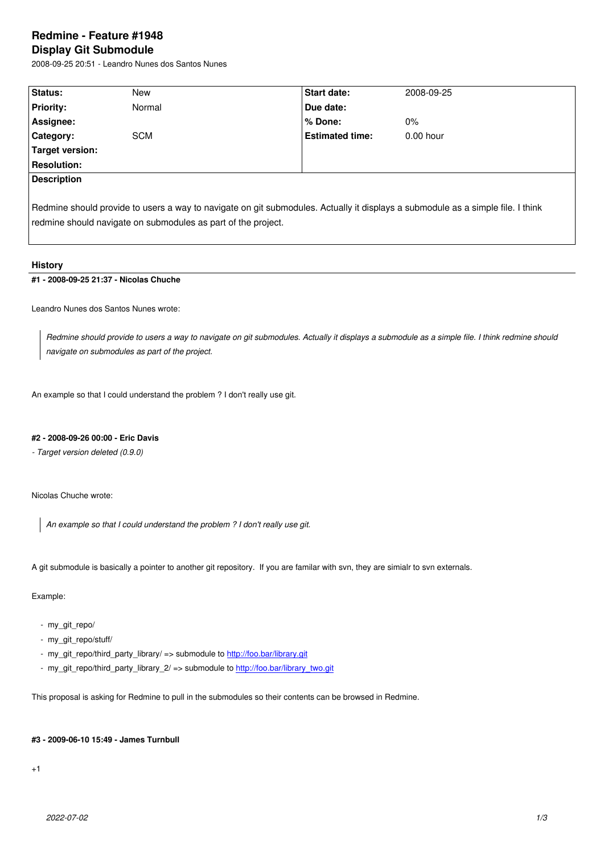#### **Display Git Submodule**

2008-09-25 20:51 - Leandro Nunes dos Santos Nunes

| Status:                                                                                                                         | New        | Start date:            | 2008-09-25  |
|---------------------------------------------------------------------------------------------------------------------------------|------------|------------------------|-------------|
| <b>Priority:</b>                                                                                                                | Normal     | Due date:              |             |
| Assignee:                                                                                                                       |            | % Done:                | $0\%$       |
| Category:                                                                                                                       | <b>SCM</b> | <b>Estimated time:</b> | $0.00$ hour |
| Target version:                                                                                                                 |            |                        |             |
| <b>Resolution:</b>                                                                                                              |            |                        |             |
| <b>Description</b>                                                                                                              |            |                        |             |
|                                                                                                                                 |            |                        |             |
| Redmine should provide to users a way to navigate on git submodules. Actually it displays a submodule as a simple file. I think |            |                        |             |

## **History**

## **#1 - 2008-09-25 21:37 - Nicolas Chuche**

Leandro Nunes dos Santos Nunes wrote:

*Redmine should provide to users a way to navigate on git submodules. Actually it displays a submodule as a simple file. I think redmine should navigate on submodules as part of the project.*

An example so that I could understand the problem ? I don't really use git.

redmine should navigate on submodules as part of the project.

## **#2 - 2008-09-26 00:00 - Eric Davis**

*- Target version deleted (0.9.0)*

Nicolas Chuche wrote:

*An example so that I could understand the problem ? I don't really use git.*

A git submodule is basically a pointer to another git repository. If you are familar with svn, they are simialr to svn externals.

Example:

- my\_git\_repo/
- my\_git\_repo/stuff/
- my\_git\_repo/third\_party\_library/ => submodule to http://foo.bar/library.git
- my\_git\_repo/third\_party\_library\_2/ => submodule to http://foo.bar/library\_two.git

This proposal is asking for Redmine to pull in the sub[modules so their conten](http://foo.bar/library.git)ts can be browsed in Redmine.

#### **#3 - 2009-06-10 15:49 - James Turnbull**

+1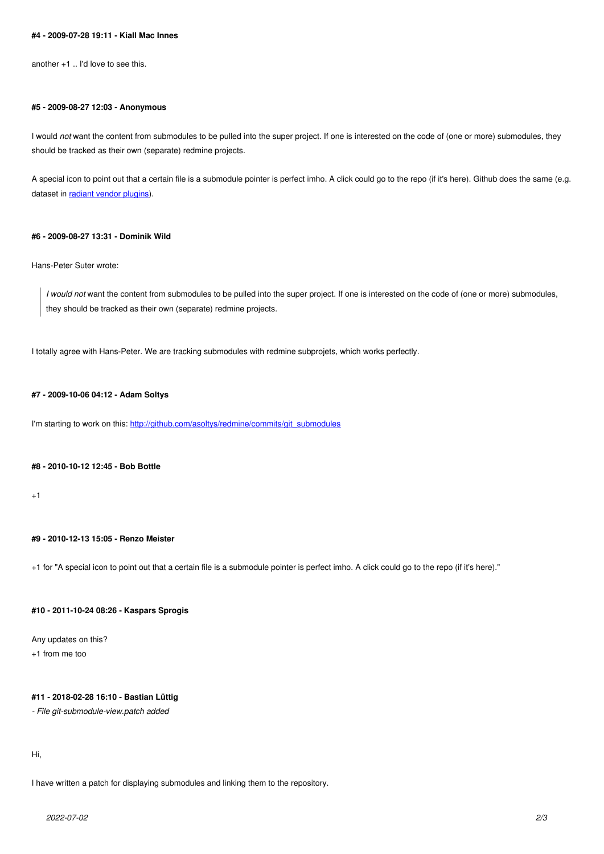## **#5 - 2009-08-27 12:03 - Anonymous**

I would *not* want the content from submodules to be pulled into the super project. If one is interested on the code of (one or more) submodules, they should be tracked as their own (separate) redmine projects.

A special icon to point out that a certain file is a submodule pointer is perfect imho. A click could go to the repo (if it's here). Github does the same (e.g. dataset in radiant vendor plugins).

## **#6 - 2009-[08-27 13:31 - Dominik](http://github.com/radiant/radiant/tree/4b817a8b533f095bdd6354ccec7acc4e6b1677c0/vendor/plugins) Wild**

Hans-Peter Suter wrote:

*I would not* want the content from submodules to be pulled into the super project. If one is interested on the code of (one or more) submodules, they should be tracked as their own (separate) redmine projects.

I totally agree with Hans-Peter. We are tracking submodules with redmine subprojets, which works perfectly.

#### **#7 - 2009-10-06 04:12 - Adam Soltys**

I'm starting to work on this: http://github.com/asoltys/redmine/commits/git\_submodules

#### **#8 - 2010-10-12 12:45 - B[ob Bottle](http://github.com/asoltys/redmine/commits/git_submodules)**

 $+1$ 

#### **#9 - 2010-12-13 15:05 - Renzo Meister**

+1 for "A special icon to point out that a certain file is a submodule pointer is perfect imho. A click could go to the repo (if it's here)."

#### **#10 - 2011-10-24 08:26 - Kaspars Sprogis**

Any updates on this?

+1 from me too

# **#11 - 2018-02-28 16:10 - Bastian Lüttig**

*- File git-submodule-view.patch added*

## Hi,

I have written a patch for displaying submodules and linking them to the repository.